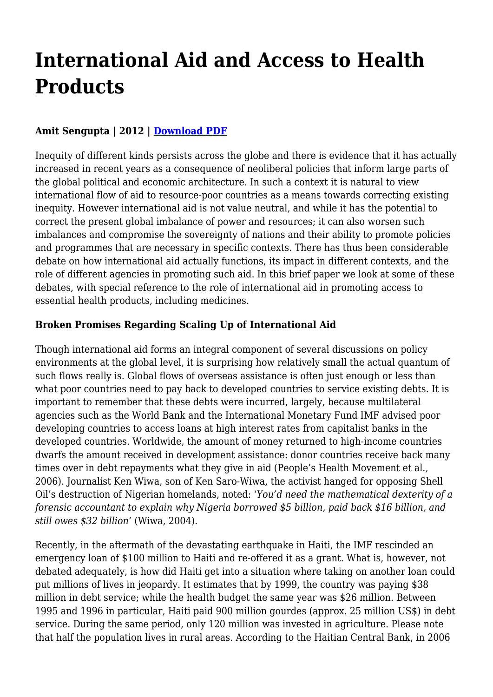# **International Aid and Access to Health Products**

# **Amit Sengupta | 2012 | [Download PDF](https://haiweb.org/wp-content/uploads/2019/12/International-Aid-and-Access-to-Health-Products.pdf)**

Inequity of different kinds persists across the globe and there is evidence that it has actually increased in recent years as a consequence of neoliberal policies that inform large parts of the global political and economic architecture. In such a context it is natural to view international flow of aid to resource-poor countries as a means towards correcting existing inequity. However international aid is not value neutral, and while it has the potential to correct the present global imbalance of power and resources; it can also worsen such imbalances and compromise the sovereignty of nations and their ability to promote policies and programmes that are necessary in specific contexts. There has thus been considerable debate on how international aid actually functions, its impact in different contexts, and the role of different agencies in promoting such aid. In this brief paper we look at some of these debates, with special reference to the role of international aid in promoting access to essential health products, including medicines.

## **Broken Promises Regarding Scaling Up of International Aid**

Though international aid forms an integral component of several discussions on policy environments at the global level, it is surprising how relatively small the actual quantum of such flows really is. Global flows of overseas assistance is often just enough or less than what poor countries need to pay back to developed countries to service existing debts. It is important to remember that these debts were incurred, largely, because multilateral agencies such as the World Bank and the International Monetary Fund IMF advised poor developing countries to access loans at high interest rates from capitalist banks in the developed countries. Worldwide, the amount of money returned to high-income countries dwarfs the amount received in development assistance: donor countries receive back many times over in debt repayments what they give in aid (People's Health Movement et al., 2006). Journalist Ken Wiwa, son of Ken Saro-Wiwa, the activist hanged for opposing Shell Oil's destruction of Nigerian homelands, noted: '*You'd need the mathematical dexterity of a forensic accountant to explain why Nigeria borrowed \$5 billion, paid back \$16 billion, and still owes \$32 billion*' (Wiwa, 2004).

Recently, in the aftermath of the devastating earthquake in Haiti, the IMF rescinded an emergency loan of \$100 million to Haiti and re-offered it as a grant. What is, however, not debated adequately, is how did Haiti get into a situation where taking on another loan could put millions of lives in jeopardy. It estimates that by 1999, the country was paying \$38 million in debt service; while the health budget the same year was \$26 million. Between 1995 and 1996 in particular, Haiti paid 900 million gourdes (approx. 25 million US\$) in debt service. During the same period, only 120 million was invested in agriculture. Please note that half the population lives in rural areas. According to the Haitian Central Bank, in 2006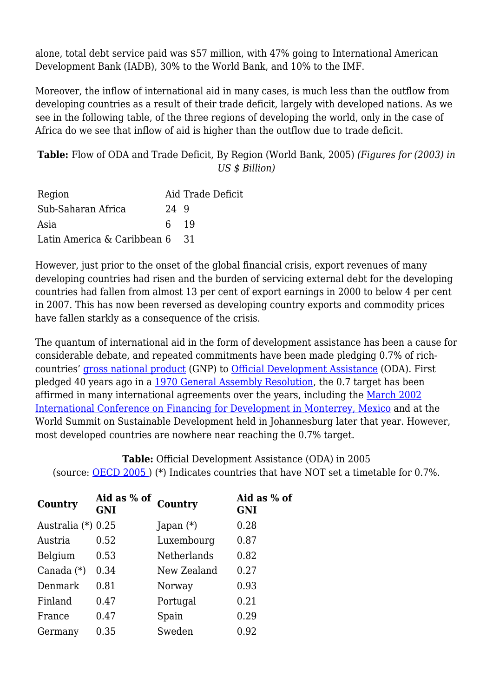alone, total debt service paid was \$57 million, with 47% going to International American Development Bank (IADB), 30% to the World Bank, and 10% to the IMF.

Moreover, the inflow of international aid in many cases, is much less than the outflow from developing countries as a result of their trade deficit, largely with developed nations. As we see in the following table, of the three regions of developing the world, only in the case of Africa do we see that inflow of aid is higher than the outflow due to trade deficit.

**Table:** Flow of ODA and Trade Deficit, By Region (World Bank, 2005) *(Figures for (2003) in US \$ Billion)*

| Region                         |      | Aid Trade Deficit |
|--------------------------------|------|-------------------|
| Sub-Saharan Africa             | 24 9 |                   |
| Asia                           | 6 19 |                   |
| Latin America & Caribbean 6 31 |      |                   |

However, just prior to the onset of the global financial crisis, export revenues of many developing countries had risen and the burden of servicing external debt for the developing countries had fallen from almost 13 per cent of export earnings in 2000 to below 4 per cent in 2007. This has now been reversed as developing country exports and commodity prices have fallen starkly as a consequence of the crisis.

The quantum of international aid in the form of development assistance has been a cause for considerable debate, and repeated commitments have been made pledging 0.7% of richcountries' [gross national product](https://haiweb.org/javascript:go() (GNP) to [Official Development Assistance](https://haiweb.org/javascript:go() (ODA). First pledged 40 years ago in a [1970 General Assembly Resolution](https://haiweb.org/javascript:go(), the 0.7 target has been affirmed in many international agreements over the years, including the [March 2002](http://www.unmillenniumproject.org/documents/07_aconf198-11.pdf) [International Conference on Financing for Development in Monterrey, Mexico](http://www.unmillenniumproject.org/documents/07_aconf198-11.pdf) and at the World Summit on Sustainable Development held in Johannesburg later that year. However, most developed countries are nowhere near reaching the 0.7% target.

**Table:** Official Development Assistance (ODA) in 2005 (source: [OECD 2005 \)](http://www.unmillenniumproject.org/documents/07_OECD_2005.pdf) (\*) Indicates countries that have NOT set a timetable for 0.7%.

| Country            | Aid as % of<br><b>GNI</b> | Country            | Aid as % of<br><b>GNI</b> |
|--------------------|---------------------------|--------------------|---------------------------|
| Australia (*) 0.25 |                           | Japan $(*)$        | 0.28                      |
| Austria            | 0.52                      | Luxembourg         | 0.87                      |
| Belgium            | 0.53                      | <b>Netherlands</b> | 0.82                      |
| Canada $(*)$       | 0.34                      | New Zealand        | 0.27                      |
| Denmark            | 0.81                      | Norway             | 0.93                      |
| Finland            | 0.47                      | Portugal           | 0.21                      |
| France             | 0.47                      | Spain              | 0.29                      |
| Germany            | 0.35                      | Sweden             | 0.92                      |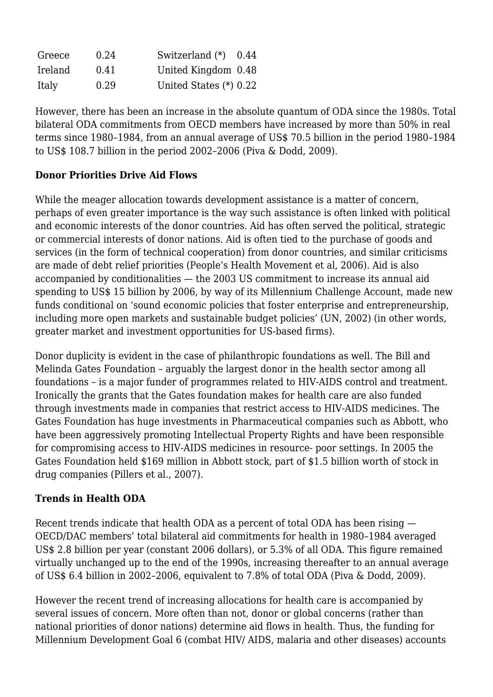| Greece  | 0.24 | Switzerland $(*)$        | 0.44 |
|---------|------|--------------------------|------|
| Ireland | 0.41 | United Kingdom 0.48      |      |
| Italy   | 0.29 | United States $(*)$ 0.22 |      |

However, there has been an increase in the absolute quantum of ODA since the 1980s. Total bilateral ODA commitments from OECD members have increased by more than 50% in real terms since 1980–1984, from an annual average of US\$ 70.5 billion in the period 1980–1984 to US\$ 108.7 billion in the period 2002–2006 (Piva & Dodd, 2009).

#### **Donor Priorities Drive Aid Flows**

While the meager allocation towards development assistance is a matter of concern, perhaps of even greater importance is the way such assistance is often linked with political and economic interests of the donor countries. Aid has often served the political, strategic or commercial interests of donor nations. Aid is often tied to the purchase of goods and services (in the form of technical cooperation) from donor countries, and similar criticisms are made of debt relief priorities (People's Health Movement et al, 2006). Aid is also accompanied by conditionalities — the 2003 US commitment to increase its annual aid spending to US\$ 15 billion by 2006, by way of its Millennium Challenge Account, made new funds conditional on 'sound economic policies that foster enterprise and entrepreneurship, including more open markets and sustainable budget policies' (UN, 2002) (in other words, greater market and investment opportunities for US-based firms).

Donor duplicity is evident in the case of philanthropic foundations as well. The Bill and Melinda Gates Foundation – arguably the largest donor in the health sector among all foundations – is a major funder of programmes related to HIV-AIDS control and treatment. Ironically the grants that the Gates foundation makes for health care are also funded through investments made in companies that restrict access to HIV-AIDS medicines. The Gates Foundation has huge investments in Pharmaceutical companies such as Abbott, who have been aggressively promoting Intellectual Property Rights and have been responsible for compromising access to HIV-AIDS medicines in resource- poor settings. In 2005 the Gates Foundation held \$169 million in Abbott stock, part of \$1.5 billion worth of stock in drug companies (Pillers et al., 2007).

## **Trends in Health ODA**

Recent trends indicate that health ODA as a percent of total ODA has been rising — OECD/DAC members' total bilateral aid commitments for health in 1980–1984 averaged US\$ 2.8 billion per year (constant 2006 dollars), or 5.3% of all ODA. This figure remained virtually unchanged up to the end of the 1990s, increasing thereafter to an annual average of US\$ 6.4 billion in 2002–2006, equivalent to 7.8% of total ODA (Piva & Dodd, 2009).

However the recent trend of increasing allocations for health care is accompanied by several issues of concern. More often than not, donor or global concerns (rather than national priorities of donor nations) determine aid flows in health. Thus, the funding for Millennium Development Goal 6 (combat HIV/ AIDS, malaria and other diseases) accounts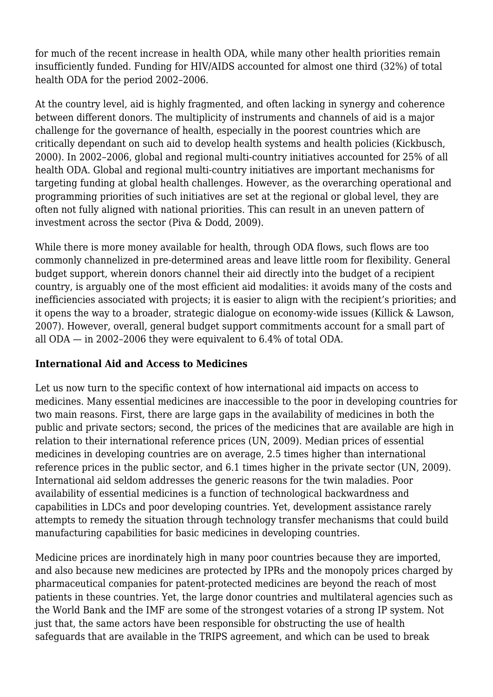for much of the recent increase in health ODA, while many other health priorities remain insufficiently funded. Funding for HIV/AIDS accounted for almost one third (32%) of total health ODA for the period 2002–2006.

At the country level, aid is highly fragmented, and often lacking in synergy and coherence between different donors. The multiplicity of instruments and channels of aid is a major challenge for the governance of health, especially in the poorest countries which are critically dependant on such aid to develop health systems and health policies (Kickbusch, 2000). In 2002–2006, global and regional multi-country initiatives accounted for 25% of all health ODA. Global and regional multi-country initiatives are important mechanisms for targeting funding at global health challenges. However, as the overarching operational and programming priorities of such initiatives are set at the regional or global level, they are often not fully aligned with national priorities. This can result in an uneven pattern of investment across the sector (Piva & Dodd, 2009).

While there is more money available for health, through ODA flows, such flows are too commonly channelized in pre-determined areas and leave little room for flexibility. General budget support, wherein donors channel their aid directly into the budget of a recipient country, is arguably one of the most efficient aid modalities: it avoids many of the costs and inefficiencies associated with projects; it is easier to align with the recipient's priorities; and it opens the way to a broader, strategic dialogue on economy-wide issues (Killick & Lawson, 2007). However, overall, general budget support commitments account for a small part of all ODA — in 2002–2006 they were equivalent to 6.4% of total ODA.

#### **International Aid and Access to Medicines**

Let us now turn to the specific context of how international aid impacts on access to medicines. Many essential medicines are inaccessible to the poor in developing countries for two main reasons. First, there are large gaps in the availability of medicines in both the public and private sectors; second, the prices of the medicines that are available are high in relation to their international reference prices (UN, 2009). Median prices of essential medicines in developing countries are on average, 2.5 times higher than international reference prices in the public sector, and 6.1 times higher in the private sector (UN, 2009). International aid seldom addresses the generic reasons for the twin maladies. Poor availability of essential medicines is a function of technological backwardness and capabilities in LDCs and poor developing countries. Yet, development assistance rarely attempts to remedy the situation through technology transfer mechanisms that could build manufacturing capabilities for basic medicines in developing countries.

Medicine prices are inordinately high in many poor countries because they are imported, and also because new medicines are protected by IPRs and the monopoly prices charged by pharmaceutical companies for patent-protected medicines are beyond the reach of most patients in these countries. Yet, the large donor countries and multilateral agencies such as the World Bank and the IMF are some of the strongest votaries of a strong IP system. Not just that, the same actors have been responsible for obstructing the use of health safeguards that are available in the TRIPS agreement, and which can be used to break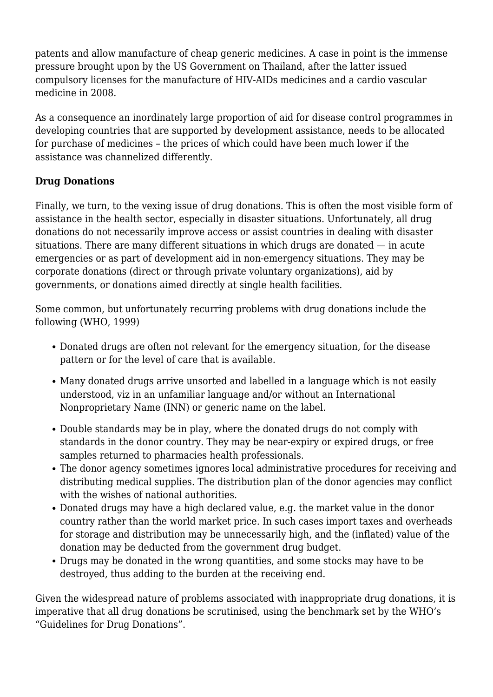patents and allow manufacture of cheap generic medicines. A case in point is the immense pressure brought upon by the US Government on Thailand, after the latter issued compulsory licenses for the manufacture of HIV-AIDs medicines and a cardio vascular medicine in 2008.

As a consequence an inordinately large proportion of aid for disease control programmes in developing countries that are supported by development assistance, needs to be allocated for purchase of medicines – the prices of which could have been much lower if the assistance was channelized differently.

## **Drug Donations**

Finally, we turn, to the vexing issue of drug donations. This is often the most visible form of assistance in the health sector, especially in disaster situations. Unfortunately, all drug donations do not necessarily improve access or assist countries in dealing with disaster situations. There are many different situations in which drugs are donated — in acute emergencies or as part of development aid in non-emergency situations. They may be corporate donations (direct or through private voluntary organizations), aid by governments, or donations aimed directly at single health facilities.

Some common, but unfortunately recurring problems with drug donations include the following (WHO, 1999)

- Donated drugs are often not relevant for the emergency situation, for the disease pattern or for the level of care that is available.
- Many donated drugs arrive unsorted and labelled in a language which is not easily understood, viz in an unfamiliar language and/or without an International Nonproprietary Name (INN) or generic name on the label.
- Double standards may be in play, where the donated drugs do not comply with standards in the donor country. They may be near-expiry or expired drugs, or free samples returned to pharmacies health professionals.
- The donor agency sometimes ignores local administrative procedures for receiving and distributing medical supplies. The distribution plan of the donor agencies may conflict with the wishes of national authorities.
- Donated drugs may have a high declared value, e.g. the market value in the donor country rather than the world market price. In such cases import taxes and overheads for storage and distribution may be unnecessarily high, and the (inflated) value of the donation may be deducted from the government drug budget.
- Drugs may be donated in the wrong quantities, and some stocks may have to be destroyed, thus adding to the burden at the receiving end.

Given the widespread nature of problems associated with inappropriate drug donations, it is imperative that all drug donations be scrutinised, using the benchmark set by the WHO's "Guidelines for Drug Donations".